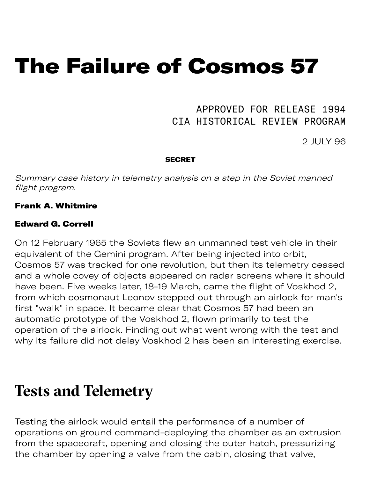# The Failure of Cosmos 57

### APPROVED FOR RELEASE 1994 CIA HISTORICAL REVIEW PROGRAM

2 JULY 96

#### **SECRET**

Summary case history in telemetry analysis on a step in the Soviet manned flight program.

#### Frank A. Whitmire

#### Edward G. Correll

On 12 February 1965 the Soviets flew an unmanned test vehicle in their equivalent of the Gemini program. After being injected into orbit, Cosmos 57 was tracked for one revolution, but then its telemetry ceased and a whole covey of objects appeared on radar screens where it should have been. Five weeks later, 18-19 March, came the flight of Voskhod 2, from which cosmonaut Leonov stepped out through an airlock for man's first "walk" in space. It became clear that Cosmos 57 had been an automatic prototype of the Voskhod 2, flown primarily to test the operation of the airlock. Finding out what went wrong with the test and why its failure did not delay Voskhod 2 has been an interesting exercise.

### **Tests and Telemetry**

Testing the airlock would entail the performance of a number of operations on ground command-deploying the chamber as an extrusion from the spacecraft, opening and closing the outer hatch, pressurizing the chamber by opening a valve from the cabin, closing that valve,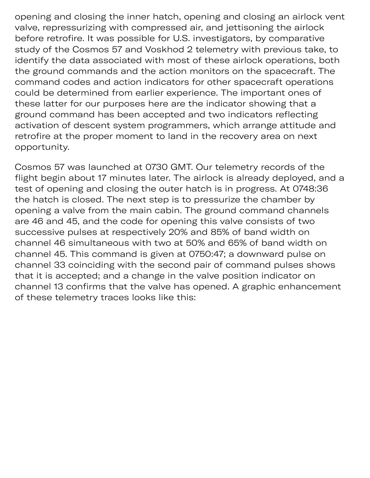opening and closing the inner hatch, opening and closing an airlock vent valve, repressurizing with compressed air, and jettisoning the airlock before retrofire. It was possible for U.S. investigators, by comparative study of the Cosmos 57 and Voskhod 2 telemetry with previous take, to identify the data associated with most of these airlock operations, both the ground commands and the action monitors on the spacecraft. The command codes and action indicators for other spacecraft operations could be determined from earlier experience. The important ones of these latter for our purposes here are the indicator showing that a ground command has been accepted and two indicators reflecting activation of descent system programmers, which arrange attitude and retrofire at the proper moment to land in the recovery area on next opportunity.

Cosmos 57 was launched at 0730 GMT. Our telemetry records of the flight begin about 17 minutes later. The airlock is already deployed, and a test of opening and closing the outer hatch is in progress. At 0748:36 the hatch is closed. The next step is to pressurize the chamber by opening a valve from the main cabin. The ground command channels are 46 and 45, and the code for opening this valve consists of two successive pulses at respectively 20% and 85% of band width on channel 46 simultaneous with two at 50% and 65% of band width on channel 45. This command is given at 0750:47; a downward pulse on channel 33 coinciding with the second pair of command pulses shows that it is accepted; and a change in the valve position indicator on channel 13 confirms that the valve has opened. A graphic enhancement of these telemetry traces looks like this: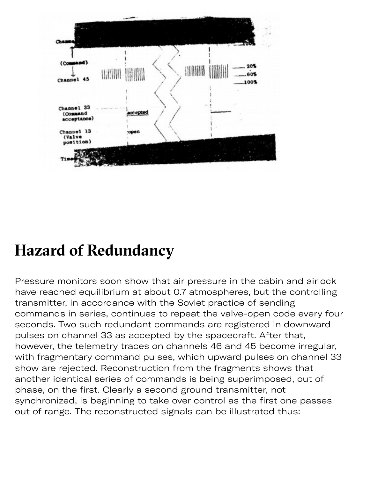

## **Hazard of Redundancy**

Pressure monitors soon show that air pressure in the cabin and airlock have reached equilibrium at about 0.7 atmospheres, but the controlling transmitter, in accordance with the Soviet practice of sending commands in series, continues to repeat the valve-open code every four seconds. Two such redundant commands are registered in downward pulses on channel 33 as accepted by the spacecraft. After that, however, the telemetry traces on channels 46 and 45 become irregular, with fragmentary command pulses, which upward pulses on channel 33 show are rejected. Reconstruction from the fragments shows that another identical series of commands is being superimposed, out of phase, on the first. Clearly a second ground transmitter, not synchronized, is beginning to take over control as the first one passes out of range. The reconstructed signals can be illustrated thus: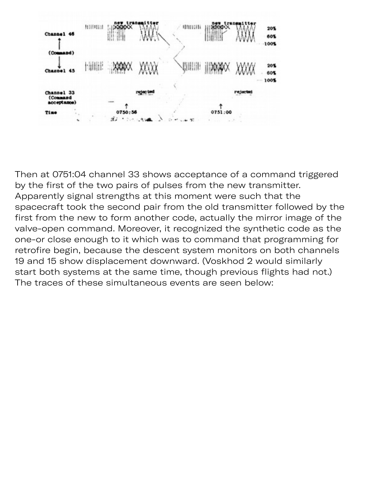

Then at 0751:04 channel 33 shows acceptance of a command triggered by the first of the two pairs of pulses from the new transmitter. Apparently signal strengths at this moment were such that the spacecraft took the second pair from the old transmitter followed by the first from the new to form another code, actually the mirror image of the valve-open command. Moreover, it recognized the synthetic code as the one-or close enough to it which was to command that programming for retrofire begin, because the descent system monitors on both channels 19 and 15 show displacement downward. (Voskhod 2 would similarly start both systems at the same time, though previous flights had not.) The traces of these simultaneous events are seen below: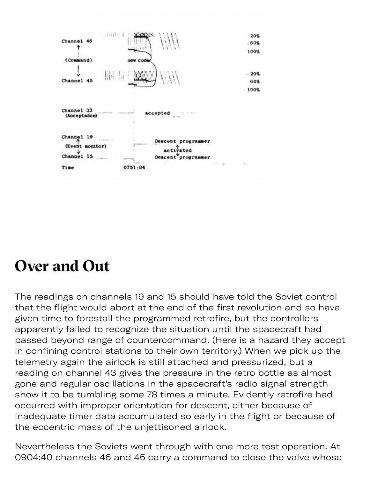

### **Over and Out**

The readings on channels 19 and 15 should have told the Soviet control that the flight would abort at the end of the first revolution and so have given time to forestall the programmed retrofire, but the controllers apparently failed to recognize the situation until the spacecraft had passed beyond range of countercommand. (Here is a hazard they accept in confining control stations to their own territory.) When we pick up the telemetry again the airlock is still attached and pressurized, but a reading on channel 43 gives the pressure in the retro bottle as almost gone and regular oscillations in the spacecraft's radio signal strength show it to be tumbling some 78 times a minute. Evidently retrofire had occurred with improper orientation for descent, either because of inadequate timer data accumulated so early in the flight or because of the eccentric mass of the unjettisoned airlock.

Nevertheless the Soviets went through with one more test operation. At 0904:40 channels 46 and 45 carry a command to close the valve whose